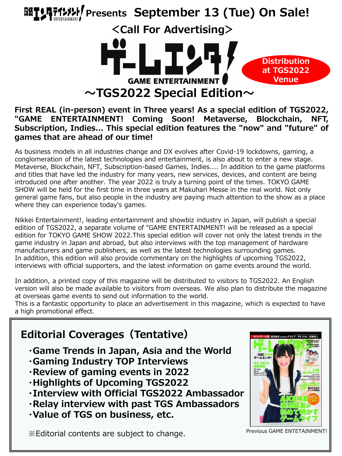

#### **First REAL (in-person) event in Three years! As a special edition of TGS2022, "GAME ENTERTAINMENT! Coming Soon! Metaverse, Blockchain, NFT, Subscription, Indies... This special edition features the "now" and "future" of games that are ahead of our time!**

As business models in all industries change and DX evolves after Covid-19 lockdowns, gaming, a conglomeration of the latest technologies and entertainment, is also about to enter a new stage. Metaverse, Blockchain, NFT, Subscription-based Games, Indies.... In addition to the game platforms and titles that have led the industry for many years, new services, devices, and content are being introduced one after another. The year 2022 is truly a turning point of the times. TOKYO GAME SHOW will be held for the first time in three years at Makuhari Messe in the real world. Not only general game fans, but also people in the industry are paying much attention to the show as a place where they can experience today's games.

Nikkei Entertainment!, leading entertainment and showbiz industry in Japan, will publish a special edition of TGS2022, a separate volume of "GAME ENTERTAINMENT! will be released as a special edition for TOKYO GAME SHOW 2022.This special edition will cover not only the latest trends in the game industry in Japan and abroad, but also interviews with the top management of hardware manufacturers and game publishers, as well as the latest technologies surrounding games. In addition, this edition will also provide commentary on the highlights of upcoming TGS2022, interviews with official supporters, and the latest information on game events around the world.

In addition, a printed copy of this magazine will be distributed to visitors to TGS2022. An English version will also be made available to visitors from overseas. We also plan to distribute the magazine at overseas game events to send out information to the world.

This is a fantastic opportunity to place an advertisement in this magazine, which is expected to have a high promotional effect.

## **Editorial Coverages(Tentative) ・Game Trends in Japan, Asia and the World ・Gaming Industry TOP Interviews ・Review of gaming events in 2022 ・Highlights of Upcoming TGS2022**

- **・Interview with Official TGS2022 Ambassador**
- **・Relay interview with past TGS Ambassadors**
- **・Value of TGS on business, etc.**

※Editorial contents are subject to change. Previous GAME ENTETAINMENT!